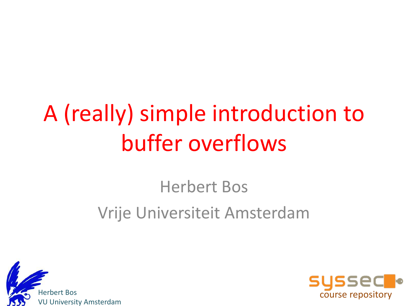# A (really) simple introduction to buffer overflows

#### Herbert Bos Vrije Universiteit Amsterdam



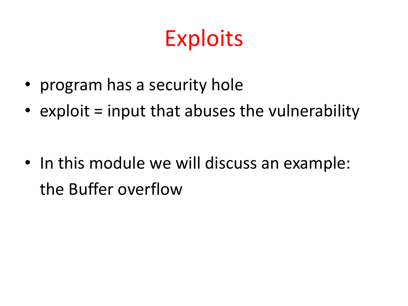# **Exploits**

- program has a security hole
- exploit  $=$  input that abuses the vulnerability

• In this module we will discuss an example: the Buffer overflow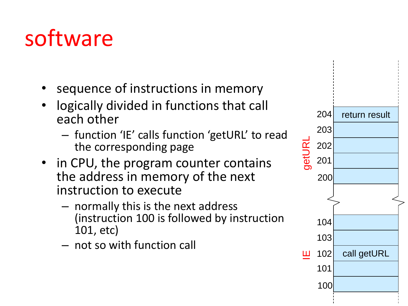# software

- sequence of instructions in memory
- logically divided in functions that call each other
	- function 'IE' calls function 'getURL' to read the corresponding page
- in CPU, the program counter contains the address in memory of the next instruction to execute
	- normally this is the next address (instruction 100 is followed by instruction 101, etc)
	- not so with function call

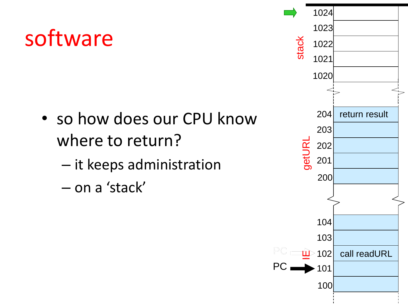#### software

- so how does our CPU know where to return?
	- it keeps administration
	- on a 'stack'

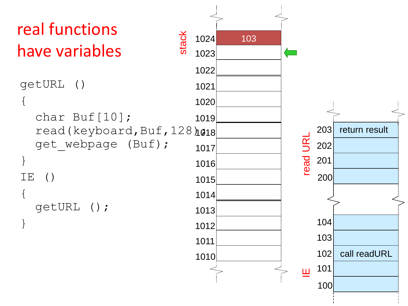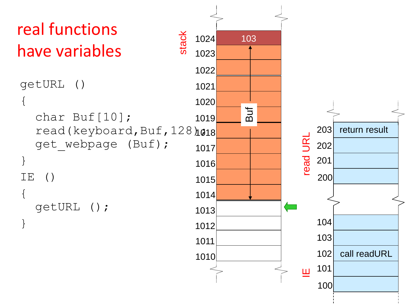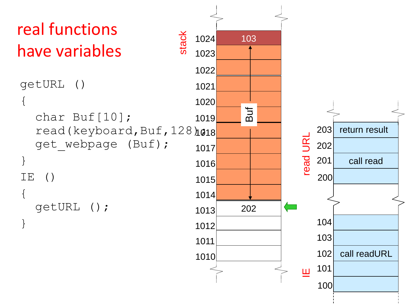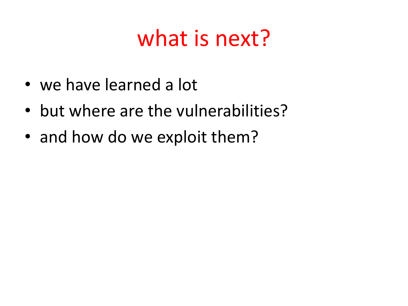#### what is next?

- we have learned a lot
- but where are the vulnerabilities?
- and how do we exploit them?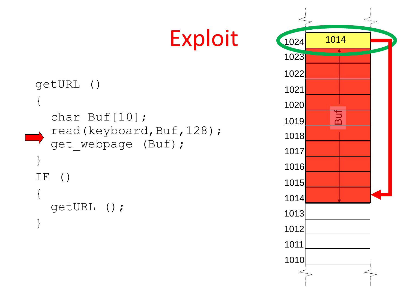```
getURL ()
{
  char Buf[10]; 
  read(keyboard,Buf,128);
  get webpage (Buf);
}
IE ()
{
  getURL ();
}
```
Exploit